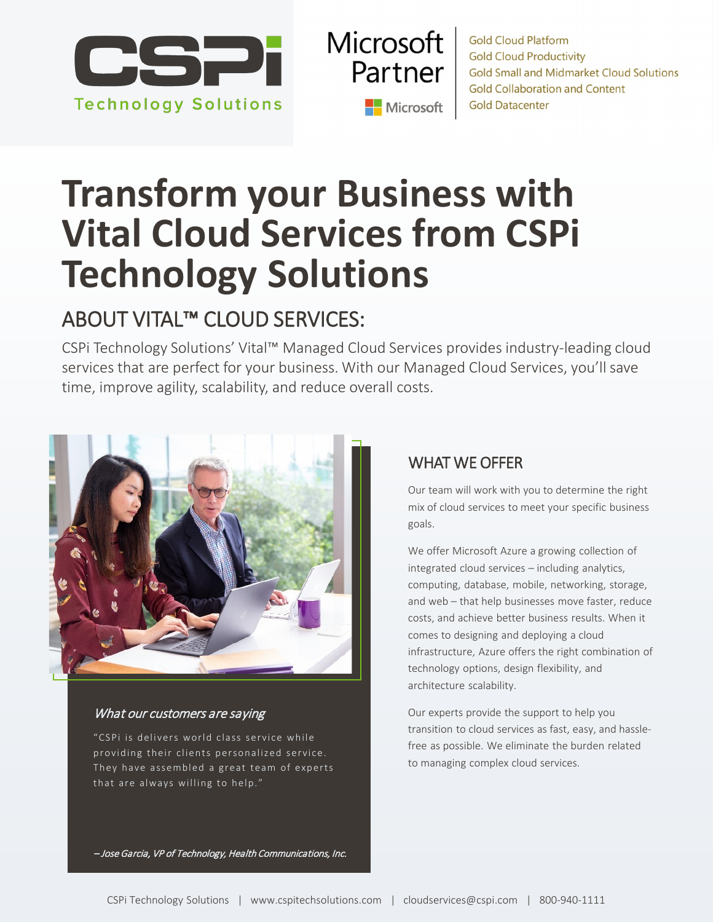

**Microsoft** Partner Microsoft

**Gold Cloud Platform Gold Cloud Productivity Gold Small and Midmarket Cloud Solutions Gold Collaboration and Content Gold Datacenter** 

## **Transform your Business with Vital Cloud Services from CSPi Technology Solutions**

### ABOUT VITAL™ CLOUD SERVICES:

CSPi Technology Solutions' Vital™ Managed Cloud Services provides industry-leading cloud services that are perfect for your business. With our Managed Cloud Services, you'll save time, improve agility, scalability, and reduce overall costs.



#### What our customers are saying

"CSPi is delivers world class service while providing their clients personalized service. They have assembled a great team of experts that are always willing to help."

#### WHAT WE OFFER

Our team will work with you to determine the right mix of cloud services to meet your specific business goals.

We offer Microsoft Azure a growing collection of integrated cloud services – including analytics, computing, database, mobile, networking, storage, and web – that help businesses move faster, reduce costs, and achieve better business results. When it comes to designing and deploying a cloud infrastructure, Azure offers the right combination of technology options, design flexibility, and architecture scalability.

Our experts provide the support to help you transition to cloud services as fast, easy, and hasslefree as possible. We eliminate the burden related to managing complex cloud services.

– Jose Garcia, VP of Technology, Health Communications, Inc.